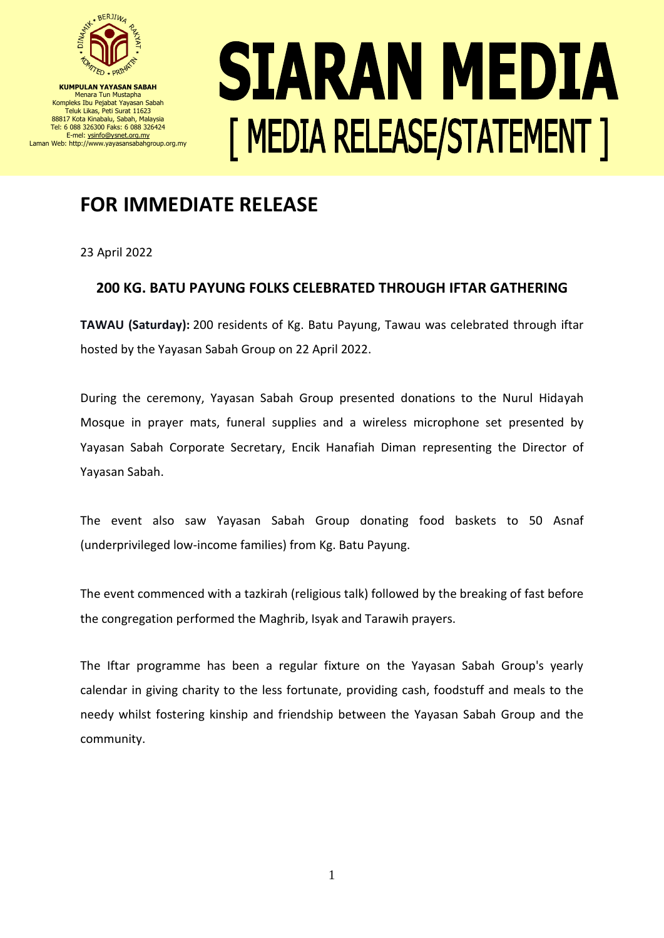

**KUMPULAN YAYASAN SABAH** Menara Tun Mustapha Kompleks Ibu Pejabat Yayasan Sabah Teluk Likas, Peti Surat 11623 88817 Kota Kinabalu, Sabah, Malaysia Tel: 6 088 326300 Faks: 6 088 326424 E-mel[: ysinfo@ysnet.org.my](mailto:ysinfo@ysnet.org.my) Laman Web: http://www.yayasansabahgroup.org.my

## SIARAN MEDIA [ MEDIA RELEASE/STATEMENT ]

## **FOR IMMEDIATE RELEASE**

23 April 2022

## **200 KG. BATU PAYUNG FOLKS CELEBRATED THROUGH IFTAR GATHERING**

**TAWAU (Saturday):** 200 residents of Kg. Batu Payung, Tawau was celebrated through iftar hosted by the Yayasan Sabah Group on 22 April 2022.

During the ceremony, Yayasan Sabah Group presented donations to the Nurul Hidayah Mosque in prayer mats, funeral supplies and a wireless microphone set presented by Yayasan Sabah Corporate Secretary, Encik Hanafiah Diman representing the Director of Yayasan Sabah.

The event also saw Yayasan Sabah Group donating food baskets to 50 Asnaf (underprivileged low-income families) from Kg. Batu Payung.

The event commenced with a tazkirah (religious talk) followed by the breaking of fast before the congregation performed the Maghrib, Isyak and Tarawih prayers.

The Iftar programme has been a regular fixture on the Yayasan Sabah Group's yearly calendar in giving charity to the less fortunate, providing cash, foodstuff and meals to the needy whilst fostering kinship and friendship between the Yayasan Sabah Group and the community.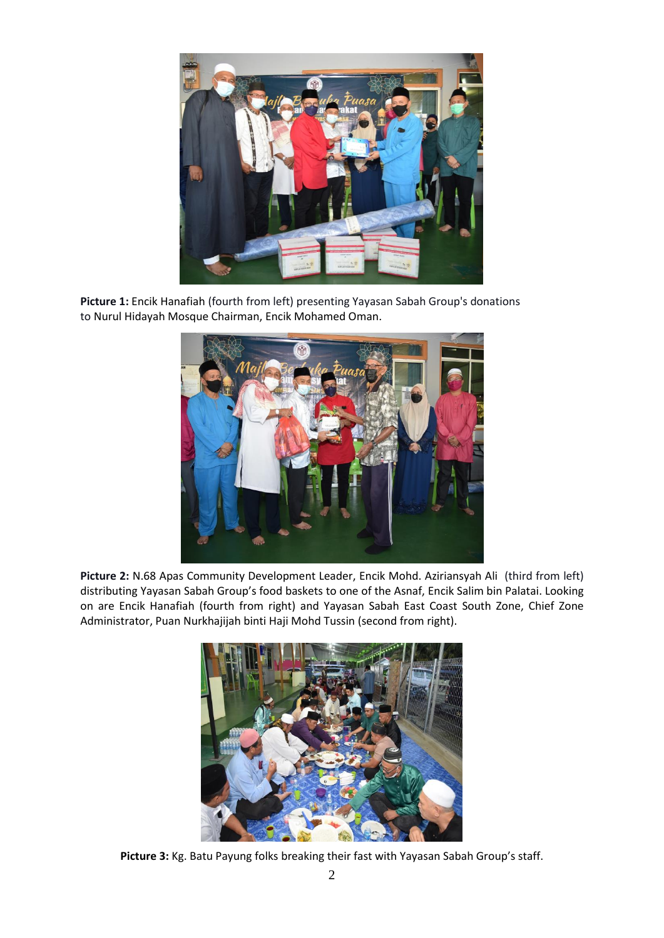

**Picture 1:** Encik Hanafiah (fourth from left) presenting Yayasan Sabah Group's donations to Nurul Hidayah Mosque Chairman, Encik Mohamed Oman.



**Picture 2:** N.68 Apas Community Development Leader, Encik Mohd. Aziriansyah Ali (third from left) distributing Yayasan Sabah Group's food baskets to one of the Asnaf, Encik Salim bin Palatai. Looking on are Encik Hanafiah (fourth from right) and Yayasan Sabah East Coast South Zone, Chief Zone Administrator, Puan Nurkhajijah binti Haji Mohd Tussin (second from right).



**Picture 3:** Kg. Batu Payung folks breaking their fast with Yayasan Sabah Group's staff.